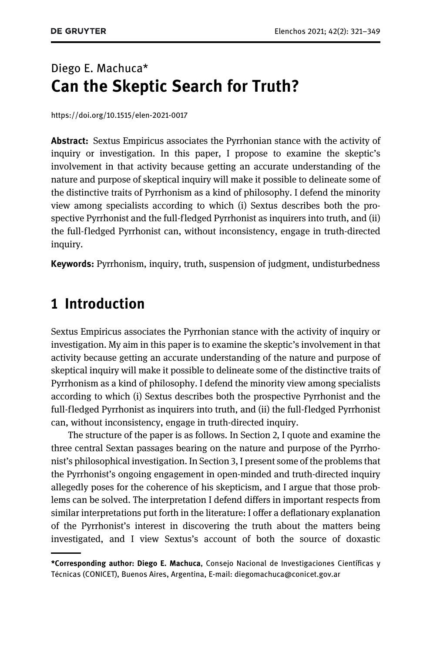## Diego E. Machuca\* Can the Skeptic Search for Truth?

<https://doi.org/10.1515/elen-2021-0017>

**Abstract:** Sextus Empiricus associates the Pyrrhonian stance with the activity of inquiry or investigation. In this paper, I propose to examine the skeptic's involvement in that activity because getting an accurate understanding of the nature and purpose of skeptical inquiry will make it possible to delineate some of the distinctive traits of Pyrrhonism as a kind of philosophy. I defend the minority view among specialists according to which (i) Sextus describes both the prospective Pyrrhonist and the full-fledged Pyrrhonist as inquirers into truth, and (ii) the full-fledged Pyrrhonist can, without inconsistency, engage in truth-directed inquiry.

Keywords: Pyrrhonism, inquiry, truth, suspension of judgment, undisturbedness

### 1 Introduction

Sextus Empiricus associates the Pyrrhonian stance with the activity of inquiry or investigation. My aim in this paper is to examine the skeptic's involvement in that activity because getting an accurate understanding of the nature and purpose of skeptical inquiry will make it possible to delineate some of the distinctive traits of Pyrrhonism as a kind of philosophy. I defend the minority view among specialists according to which (i) Sextus describes both the prospective Pyrrhonist and the full-fledged Pyrrhonist as inquirers into truth, and (ii) the full-fledged Pyrrhonist can, without inconsistency, engage in truth-directed inquiry.

The structure of the paper is as follows. In [Section 2](#page-1-0), I quote and examine the three central Sextan passages bearing on the nature and purpose of the Pyrrhonist's philosophical investigation. In [Section 3](#page-6-0), I present some of the problems that the Pyrrhonist's ongoing engagement in open-minded and truth-directed inquiry allegedly poses for the coherence of his skepticism, and I argue that those problems can be solved. The interpretation I defend differs in important respects from similar interpretations put forth in the literature: I offer a deflationary explanation of the Pyrrhonist's interest in discovering the truth about the matters being investigated, and I view Sextus's account of both the source of doxastic

<sup>\*</sup>Corresponding author: Diego E. Machuca, Consejo Nacional de Investigaciones Científicas y Técnicas (CONICET), Buenos Aires, Argentina, E-mail: [diegomachuca@conicet.gov.ar](mailto:diegomachuca@conicet.gov.ar)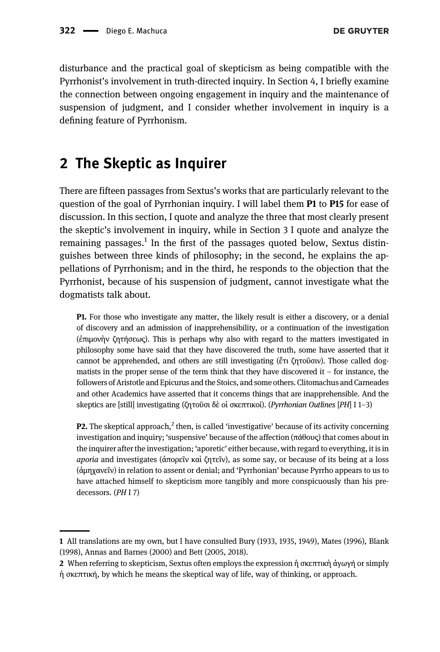disturbance and the practical goal of skepticism as being compatible with the Pyrrhonist's involvement in truth-directed inquiry. In [Section 4,](#page-25-0) I briefly examine the connection between ongoing engagement in inquiry and the maintenance of suspension of judgment, and I consider whether involvement in inquiry is a defining feature of Pyrrhonism.

## <span id="page-1-0"></span>2 The Skeptic as Inquirer

There are fifteen passages from Sextus's works that are particularly relevant to the question of the goal of Pyrrhonian inquiry. I will label them P1 to P15 for ease of discussion. In this section, I quote and analyze the three that most clearly present the skeptic's involvement in inquiry, while in [Section 3](#page-6-0) I quote and analyze the remaining passages.<sup>1</sup> In the first of the passages quoted below, Sextus distinguishes between three kinds of philosophy; in the second, he explains the appellations of Pyrrhonism; and in the third, he responds to the objection that the Pyrrhonist, because of his suspension of judgment, cannot investigate what the dogmatists talk about.

P1. For those who investigate any matter, the likely result is either a discovery, or a denial of discovery and an admission of inapprehensibility, or a continuation of the investigation (ἐπιμονὴν ζητήσεως). This is perhaps why also with regard to the matters investigated in philosophy some have said that they have discovered the truth, some have asserted that it cannot be apprehended, and others are still investigating (ἔτι ζητοῦσιν). Those called dogmatists in the proper sense of the term think that they have discovered it – for instance, the followers of Aristotle and Epicurus and the Stoics, and some others. Clitomachus and Carneades and other Academics have asserted that it concerns things that are inapprehensible. And the skeptics are [still] investigating (ζητοῦσι δὲ οἱ σκεπτικοί). (Pyrrhonian Outlines [PH] I 1-3)

**P2.** The skeptical approach, $^2$  then, is called 'investigative' because of its activity concerning investigation and inquiry; 'suspensive' because of the affection (πάθους) that comes about in the inquirer after the investigation; 'aporetic' either because, with regard to everything, it is in aporia and investigates (ἀπορεῖν καὶ ζητεῖν), as some say, or because of its being at a loss (ἀμηχανεῖν) in relation to assent or denial; and 'Pyrrhonian' because Pyrrho appears to us to have attached himself to skepticism more tangibly and more conspicuously than his predecessors. (PH I 7)

<sup>1</sup> All translations are my own, but I have consulted [Bury \(1933](#page-26-0), [1935,](#page-26-1) [1949\),](#page-26-2) [Mates \(1996\)](#page-27-0), [Blank](#page-26-3) [\(1998\)](#page-26-3), [Annas and Barnes \(2000\)](#page-26-4) and [Bett \(2005](#page-26-5), [2018\).](#page-26-6)

<sup>2</sup> When referring to skepticism, Sextus often employs the expression ή σκεπτική άγωγή or simply ἡ σκεπτική, by which he means the skeptical way of life, way of thinking, or approach.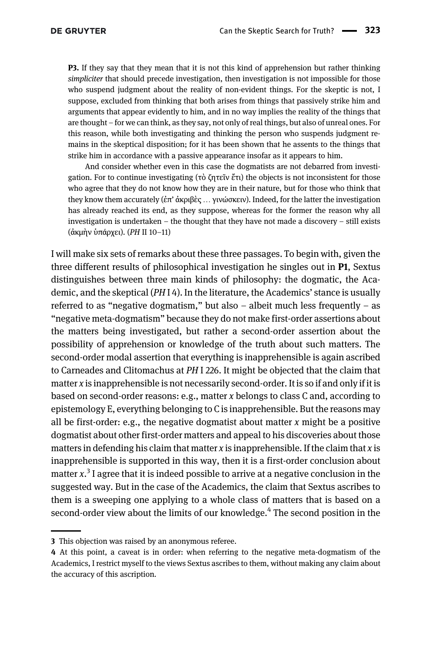P3. If they say that they mean that it is not this kind of apprehension but rather thinking simpliciter that should precede investigation, then investigation is not impossible for those who suspend judgment about the reality of non-evident things. For the skeptic is not, I suppose, excluded from thinking that both arises from things that passively strike him and arguments that appear evidently to him, and in no way implies the reality of the things that are thought – for we can think, as they say, not only of real things, but also of unreal ones. For this reason, while both investigating and thinking the person who suspends judgment remains in the skeptical disposition; for it has been shown that he assents to the things that strike him in accordance with a passive appearance insofar as it appears to him.

And consider whether even in this case the dogmatists are not debarred from investigation. For to continue investigating (τὸ ζητεῖν ἔτι) the objects is not inconsistent for those who agree that they do not know how they are in their nature, but for those who think that they know them accurately (ἐπ' ἀκριβὲς … γινώσκειν). Indeed, for the latter the investigation has already reached its end, as they suppose, whereas for the former the reason why all investigation is undertaken – the thought that they have not made a discovery – still exists (ἀκμὴν ὑπάρχει). (PH II 10–11)

I will make six sets of remarks about these three passages. To begin with, given the three different results of philosophical investigation he singles out in P1, Sextus distinguishes between three main kinds of philosophy: the dogmatic, the Academic, and the skeptical  $(PHI 4)$ . In the literature, the Academics' stance is usually referred to as "negative dogmatism," but also – albeit much less frequently – as "negative meta-dogmatism" because they do not make first-order assertions about the matters being investigated, but rather a second-order assertion about the possibility of apprehension or knowledge of the truth about such matters. The second-order modal assertion that everything is inapprehensible is again ascribed to Carneades and Clitomachus at PH I 226. It might be objected that the claim that matter x is inapprehensible is not necessarily second-order. It is so if and only if it is based on second-order reasons: e.g., matter x belongs to class C and, according to epistemology E, everything belonging to C is inapprehensible. But the reasons may all be first-order: e.g., the negative dogmatist about matter  $x$  might be a positive dogmatist about other first-order matters and appeal to his discoveries about those matters in defending his claim that matter x is inapprehensible. If the claim that x is inapprehensible is supported in this way, then it is a first-order conclusion about matter  $x^3$  I agree that it is indeed possible to arrive at a negative conclusion in the suggested way. But in the case of the Academics, the claim that Sextus ascribes to them is a sweeping one applying to a whole class of matters that is based on a second-order view about the limits of our knowledge.<sup>4</sup> The second position in the

<sup>3</sup> This objection was raised by an anonymous referee.

<sup>4</sup> At this point, a caveat is in order: when referring to the negative meta-dogmatism of the Academics, I restrict myself to the views Sextus ascribes to them, without making any claim about the accuracy of this ascription.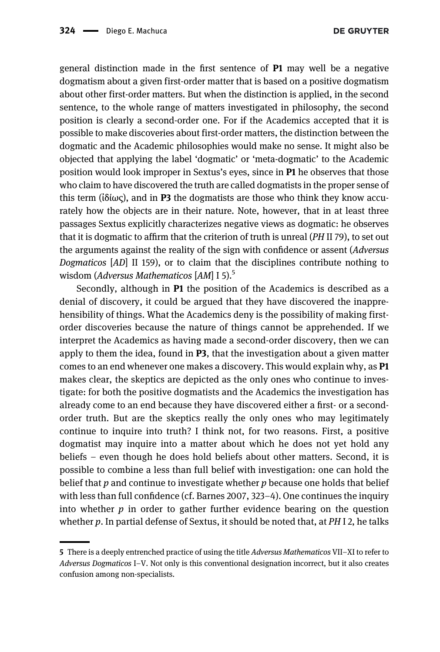general distinction made in the first sentence of P1 may well be a negative dogmatism about a given first-order matter that is based on a positive dogmatism about other first-order matters. But when the distinction is applied, in the second sentence, to the whole range of matters investigated in philosophy, the second position is clearly a second-order one. For if the Academics accepted that it is possible to make discoveries about first-order matters, the distinction between the dogmatic and the Academic philosophies would make no sense. It might also be objected that applying the label 'dogmatic' or 'meta-dogmatic' to the Academic position would look improper in Sextus's eyes, since in P1 he observes that those who claim to have discovered the truth are called dogmatists in the proper sense of this term ( $i\delta i\omega\zeta$ ), and in P3 the dogmatists are those who think they know accurately how the objects are in their nature. Note, however, that in at least three passages Sextus explicitly characterizes negative views as dogmatic: he observes that it is dogmatic to affirm that the criterion of truth is unreal (PH II 79), to set out the arguments against the reality of the sign with confidence or assent (Adversus Dogmaticos [AD] II 159), or to claim that the disciplines contribute nothing to wisdom (Adversus Mathematicos [AM] I 5).<sup>5</sup>

Secondly, although in P1 the position of the Academics is described as a denial of discovery, it could be argued that they have discovered the inapprehensibility of things. What the Academics deny is the possibility of making firstorder discoveries because the nature of things cannot be apprehended. If we interpret the Academics as having made a second-order discovery, then we can apply to them the idea, found in  $P3$ , that the investigation about a given matter comes to an end whenever one makes a discovery. This would explain why, as P1 makes clear, the skeptics are depicted as the only ones who continue to investigate: for both the positive dogmatists and the Academics the investigation has already come to an end because they have discovered either a first- or a secondorder truth. But are the skeptics really the only ones who may legitimately continue to inquire into truth? I think not, for two reasons. First, a positive dogmatist may inquire into a matter about which he does not yet hold any beliefs – even though he does hold beliefs about other matters. Second, it is possible to combine a less than full belief with investigation: one can hold the belief that  $p$  and continue to investigate whether  $p$  because one holds that belief with less than full confidence (cf. [Barnes 2007](#page-26-7), 323–4). One continues the inquiry into whether  $p$  in order to gather further evidence bearing on the question whether  $p$ . In partial defense of Sextus, it should be noted that, at  $PHI$  2, he talks

<sup>5</sup> There is a deeply entrenched practice of using the title Adversus Mathematicos VII–XI to refer to Adversus Dogmaticos I–V. Not only is this conventional designation incorrect, but it also creates confusion among non-specialists.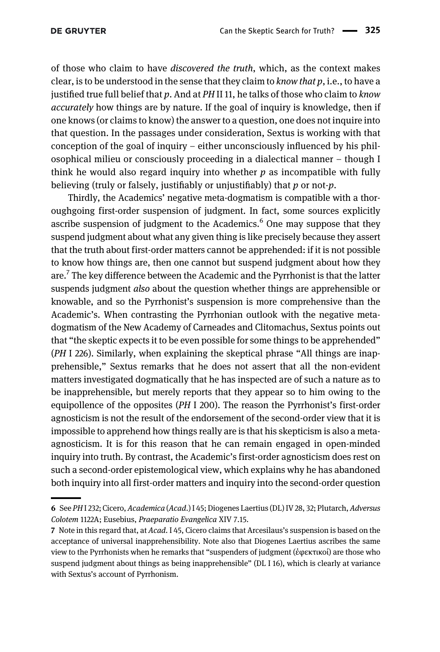of those who claim to have discovered the truth, which, as the context makes clear, is to be understood in the sense that they claim to *know that p*, i.e., to have a justified true full belief that p. And at  $PH$  II 11, he talks of those who claim to know accurately how things are by nature. If the goal of inquiry is knowledge, then if one knows (or claims to know) the answer to a question, one does not inquire into that question. In the passages under consideration, Sextus is working with that conception of the goal of inquiry – either unconsciously influenced by his philosophical milieu or consciously proceeding in a dialectical manner – though I think he would also regard inquiry into whether  $p$  as incompatible with fully believing (truly or falsely, justifiably or unjustifiably) that  $p$  or not- $p$ .

Thirdly, the Academics' negative meta-dogmatism is compatible with a thoroughgoing first-order suspension of judgment. In fact, some sources explicitly ascribe suspension of judgment to the Academics. $6$  One may suppose that they suspend judgment about what any given thing is like precisely because they assert that the truth about first-order matters cannot be apprehended: if it is not possible to know how things are, then one cannot but suspend judgment about how they  $are^{-7}$  The key difference between the Academic and the Pyrrhonist is that the latter suspends judgment *also* about the question whether things are apprehensible or knowable, and so the Pyrrhonist's suspension is more comprehensive than the Academic's. When contrasting the Pyrrhonian outlook with the negative metadogmatism of the New Academy of Carneades and Clitomachus, Sextus points out that "the skeptic expects it to be even possible for some things to be apprehended" (PH I 226). Similarly, when explaining the skeptical phrase "All things are inapprehensible," Sextus remarks that he does not assert that all the non-evident matters investigated dogmatically that he has inspected are of such a nature as to be inapprehensible, but merely reports that they appear so to him owing to the equipollence of the opposites (PH I 200). The reason the Pyrrhonist's first-order agnosticism is not the result of the endorsement of the second-order view that it is impossible to apprehend how things really are is that his skepticism is also a metaagnosticism. It is for this reason that he can remain engaged in open-minded inquiry into truth. By contrast, the Academic's first-order agnosticism does rest on such a second-order epistemological view, which explains why he has abandoned both inquiry into all first-order matters and inquiry into the second-order question

<sup>6</sup> See PHI 232; Cicero, Academica (Acad.) I 45; Diogenes Laertius (DL) IV 28, 32; Plutarch, Adversus Colotem 1122A; Eusebius, Praeparatio Evangelica XIV 7.15.

<sup>7</sup> Note in this regard that, at Acad. I 45, Cicero claims that Arcesilaus's suspension is based on the acceptance of universal inapprehensibility. Note also that Diogenes Laertius ascribes the same view to the Pyrrhonists when he remarks that "suspenders of judgment (ἐφεκτικοί) are those who suspend judgment about things as being inapprehensible" (DL I 16), which is clearly at variance with Sextus's account of Pyrrhonism.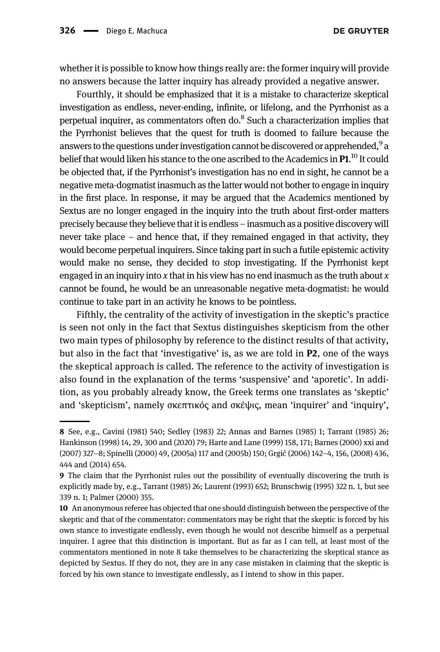whether it is possible to know how things really are: the former inquiry will provide no answers because the latter inquiry has already provided a negative answer.

Fourthly, it should be emphasized that it is a mistake to characterize skeptical investigation as endless, never-ending, infinite, or lifelong, and the Pyrrhonist as a perpetual inquirer, as commentators often do.<sup>8</sup> Such a characterization implies that the Pyrrhonist believes that the quest for truth is doomed to failure because the answers to the questions under investigation cannot be discovered or apprehended,<sup>9</sup> a belief that would liken his stance to the one ascribed to the Academics in  ${\bf P1}.^{10}$  It could be objected that, if the Pyrrhonist's investigation has no end in sight, he cannot be a negative meta-dogmatist inasmuch as the latter would not bother to engage in inquiry in the first place. In response, it may be argued that the Academics mentioned by Sextus are no longer engaged in the inquiry into the truth about first-order matters precisely because they believe that it is endless – inasmuch as a positive discovery will never take place – and hence that, if they remained engaged in that activity, they would become perpetual inquirers. Since taking part in such a futile epistemic activity would make no sense, they decided to stop investigating. If the Pyrrhonist kept engaged in an inquiry into  $x$  that in his view has no end inasmuch as the truth about  $x$ cannot be found, he would be an unreasonable negative meta-dogmatist: he would continue to take part in an activity he knows to be pointless.

Fifthly, the centrality of the activity of investigation in the skeptic's practice is seen not only in the fact that Sextus distinguishes skepticism from the other two main types of philosophy by reference to the distinct results of that activity, but also in the fact that 'investigative' is, as we are told in P2, one of the ways the skeptical approach is called. The reference to the activity of investigation is also found in the explanation of the terms 'suspensive' and 'aporetic'. In addition, as you probably already know, the Greek terms one translates as 'skeptic' and 'skepticism', namely σκεπτικός and σκέψις, mean 'inquirer' and 'inquiry',

<sup>8</sup> See, e.g., [Cavini \(1981\)](#page-26-8) 540; [Sedley \(1983\)](#page-28-0) 22; [Annas and Barnes \(1985\)](#page-26-9) 1; [Tarrant \(1985\)](#page-28-1) 26; [Hankinson \(1998\)](#page-27-1) 14, 29, 300 and [\(2020](#page-27-2)) 79; [Harte and Lane \(1999\)](#page-27-3) 158, 171; [Barnes \(2000\)](#page-26-10) xxi and [\(2007](#page-26-7)) 327–8; [Spinelli \(2000\)](#page-28-2) 49, ([2005a\)](#page-28-3) 117 and [\(2005b](#page-28-4)) 150; Grgić [\(2006\)](#page-27-4) 142–4, 156, ([2008\)](#page-27-5) 436, 444 and ([2014](#page-27-6)) 654.

<sup>9</sup> The claim that the Pyrrhonist rules out the possibility of eventually discovering the truth is explicitly made by, e.g., [Tarrant \(1985\)](#page-28-1) 26; [Laurent \(1993\)](#page-27-7) 652; [Brunschwig \(1995\)](#page-26-11) 322 n. 1, but see 339 n. 1; [Palmer \(2000\)](#page-27-8) 355.

<sup>10</sup> An anonymous referee has objected that one should distinguish between the perspective of the skeptic and that of the commentator: commentators may be right that the skeptic is forced by his own stance to investigate endlessly, even though he would not describe himself as a perpetual inquirer. I agree that this distinction is important. But as far as I can tell, at least most of the commentators mentioned in note 8 take themselves to be characterizing the skeptical stance as depicted by Sextus. If they do not, they are in any case mistaken in claiming that the skeptic is forced by his own stance to investigate endlessly, as I intend to show in this paper.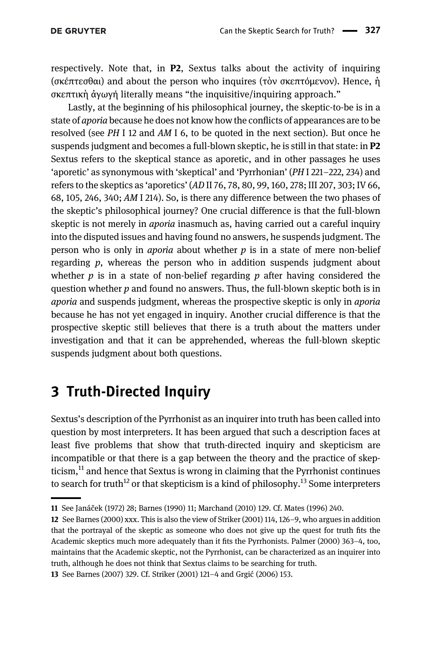respectively. Note that, in P2, Sextus talks about the activity of inquiring (σκέπτεσθαι) and about the person who inquires (τὸν σκεπτόμενον). Hence, ἡ σκεπτικὴ ἀγωγή literally means "the inquisitive/inquiring approach."

Lastly, at the beginning of his philosophical journey, the skeptic-to-be is in a state of aporia because he does not know how the conflicts of appearances are to be resolved (see PH I 12 and AM I 6, to be quoted in the next section). But once he suspends judgment and becomes a full-blown skeptic, he is still in that state: in P2 Sextus refers to the skeptical stance as aporetic, and in other passages he uses 'aporetic' as synonymous with 'skeptical' and 'Pyrrhonian' (PH I 221–222, 234) and refers to the skeptics as 'aporetics' (AD II 76, 78, 80, 99, 160, 278; III 207, 303; IV 66, 68, 105, 246, 340; AM I 214). So, is there any difference between the two phases of the skeptic's philosophical journey? One crucial difference is that the full-blown skeptic is not merely in *aporia* inasmuch as, having carried out a careful inquiry into the disputed issues and having found no answers, he suspends judgment. The person who is only in *aporia* about whether  $p$  is in a state of mere non-belief regarding  $p$ , whereas the person who in addition suspends judgment about whether  $p$  is in a state of non-belief regarding  $p$  after having considered the question whether  $p$  and found no answers. Thus, the full-blown skeptic both is in aporia and suspends judgment, whereas the prospective skeptic is only in aporia because he has not yet engaged in inquiry. Another crucial difference is that the prospective skeptic still believes that there is a truth about the matters under investigation and that it can be apprehended, whereas the full-blown skeptic suspends judgment about both questions.

# <span id="page-6-0"></span>3 Truth-Directed Inquiry

Sextus's description of the Pyrrhonist as an inquirer into truth has been called into question by most interpreters. It has been argued that such a description faces at least five problems that show that truth-directed inquiry and skepticism are incompatible or that there is a gap between the theory and the practice of skepticism, $<sup>11</sup>$  and hence that Sextus is wrong in claiming that the Pyrrhonist continues</sup> to search for truth<sup>12</sup> or that skepticism is a kind of philosophy.<sup>13</sup> Some interpreters

<sup>11</sup> See Janáč[ek \(1972\)](#page-27-9) 28; [Barnes \(1990\)](#page-26-12) 11; [Marchand \(2010\)](#page-27-10) 129. Cf. [Mates \(1996\)](#page-27-0) 240.

<sup>12</sup> See [Barnes \(2000\)](#page-26-10) xxx. This is also the view of [Striker \(2001\)](#page-28-5) 114, 126–9, who argues in addition that the portrayal of the skeptic as someone who does not give up the quest for truth fits the Academic skeptics much more adequately than it fits the Pyrrhonists. [Palmer \(2000\)](#page-27-8) 363–4, too, maintains that the Academic skeptic, not the Pyrrhonist, can be characterized as an inquirer into truth, although he does not think that Sextus claims to be searching for truth.

<sup>13</sup> See [Barnes \(2007\)](#page-26-7) 329. Cf. [Striker \(2001\)](#page-28-5) 121–4 and Grgić [\(2006\)](#page-27-4) 153.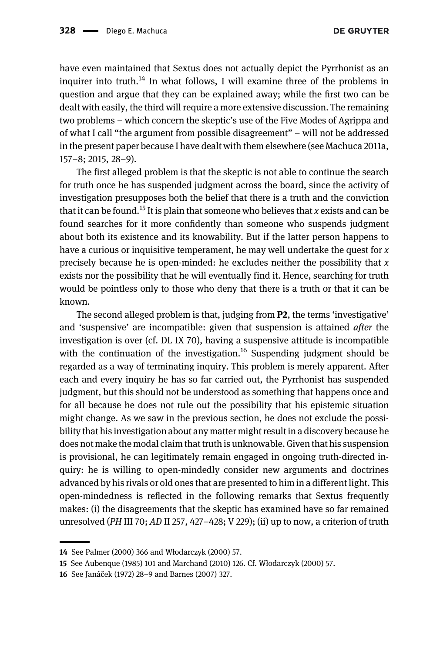have even maintained that Sextus does not actually depict the Pyrrhonist as an inquirer into truth.<sup>14</sup> In what follows, I will examine three of the problems in question and argue that they can be explained away; while the first two can be dealt with easily, the third will require a more extensive discussion. The remaining two problems – which concern the skeptic's use of the Five Modes of Agrippa and of what I call "the argument from possible disagreement" – will not be addressed in the present paper because I have dealt with them elsewhere (see [Machuca 2011a,](#page-27-11) 157–8; [2015,](#page-27-12) 28–9).

The first alleged problem is that the skeptic is not able to continue the search for truth once he has suspended judgment across the board, since the activity of investigation presupposes both the belief that there is a truth and the conviction that it can be found.<sup>15</sup> It is plain that someone who believes that x exists and can be found searches for it more confidently than someone who suspends judgment about both its existence and its knowability. But if the latter person happens to have a curious or inquisitive temperament, he may well undertake the quest for  $x$ precisely because he is open-minded: he excludes neither the possibility that  $x$ exists nor the possibility that he will eventually find it. Hence, searching for truth would be pointless only to those who deny that there is a truth or that it can be known.

The second alleged problem is that, judging from P2, the terms 'investigative' and 'suspensive' are incompatible: given that suspension is attained after the investigation is over (cf. DL IX 70), having a suspensive attitude is incompatible with the continuation of the investigation.<sup>16</sup> Suspending judgment should be regarded as a way of terminating inquiry. This problem is merely apparent. After each and every inquiry he has so far carried out, the Pyrrhonist has suspended judgment, but this should not be understood as something that happens once and for all because he does not rule out the possibility that his epistemic situation might change. As we saw in the previous section, he does not exclude the possibility that his investigation about any matter might result in a discovery because he does not make the modal claim that truth is unknowable. Given that his suspension is provisional, he can legitimately remain engaged in ongoing truth-directed inquiry: he is willing to open-mindedly consider new arguments and doctrines advanced by his rivals or old ones that are presented to him in a different light. This open-mindedness is reflected in the following remarks that Sextus frequently makes: (i) the disagreements that the skeptic has examined have so far remained unresolved (PH III 70; AD II 257, 427–428; V 229); (ii) up to now, a criterion of truth

<sup>14</sup> See [Palmer \(2000\)](#page-27-8) 366 and Wł[odarczyk \(2000\)](#page-28-6) 57.

<sup>15</sup> See [Aubenque \(1985\)](#page-26-13) 101 and [Marchand \(2010\)](#page-27-10) 126. Cf. Wł[odarczyk \(2000\)](#page-28-6) 57.

<sup>16</sup> See Janáč[ek \(1972\)](#page-27-9) 28–9 and [Barnes \(2007\)](#page-26-7) 327.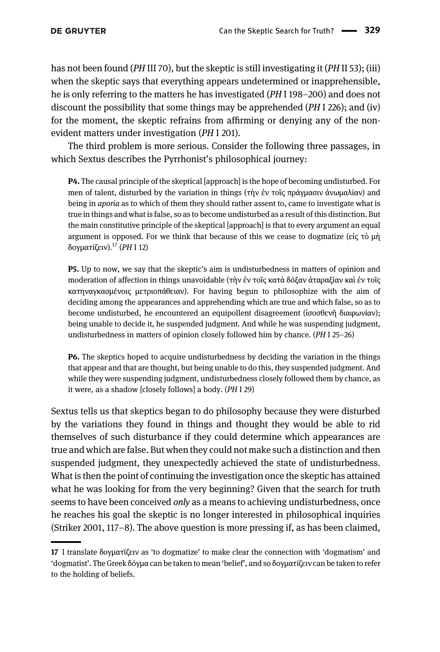has not been found (PH III 70), but the skeptic is still investigating it (PH II 53); (iii) when the skeptic says that everything appears undetermined or inapprehensible, he is only referring to the matters he has investigated (PH I 198–200) and does not discount the possibility that some things may be apprehended (PH I 226); and (iv) for the moment, the skeptic refrains from affirming or denying any of the nonevident matters under investigation (PH I 201).

The third problem is more serious. Consider the following three passages, in which Sextus describes the Pyrrhonist's philosophical journey:

P4. The causal principle of the skeptical [approach] is the hope of becoming undisturbed. For men of talent, disturbed by the variation in things (τὴν ἐν τοῖς πράγμασιν ἀνωμαλίαν) and being in *aporia* as to which of them they should rather assent to, came to investigate what is true in things and what is false, so as to become undisturbed as a result of this distinction. But the main constitutive principle of the skeptical [approach] is that to every argument an equal argument is opposed. For we think that because of this we cease to dogmatize (εἰς τὸ μὴ δογματίζειν).<sup>17</sup> (PH I 12)

P5. Up to now, we say that the skeptic's aim is undisturbedness in matters of opinion and moderation of affection in things unavoidable (τὴν ἐν τοῖς κατὰ δόξαν ἀταραξίαν καὶ ἐν τοῖς κατηναγκασμένοις μετριοπάθειαν). For having begun to philosophize with the aim of deciding among the appearances and apprehending which are true and which false, so as to become undisturbed, he encountered an equipollent disagreement (ἰσοσθενῆ διαφωνίαν); being unable to decide it, he suspended judgment. And while he was suspending judgment, undisturbedness in matters of opinion closely followed him by chance. (PH I 25–26)

P6. The skeptics hoped to acquire undisturbedness by deciding the variation in the things that appear and that are thought, but being unable to do this, they suspended judgment. And while they were suspending judgment, undisturbedness closely followed them by chance, as it were, as a shadow [closely follows] a body. (PH I 29)

Sextus tells us that skeptics began to do philosophy because they were disturbed by the variations they found in things and thought they would be able to rid themselves of such disturbance if they could determine which appearances are true and which are false. But when they could not make such a distinction and then suspended judgment, they unexpectedly achieved the state of undisturbedness. What is then the point of continuing the investigation once the skeptic has attained what he was looking for from the very beginning? Given that the search for truth seems to have been conceived *only* as a means to achieving undisturbedness, once he reaches his goal the skeptic is no longer interested in philosophical inquiries [\(Striker 2001,](#page-28-5) 117–8). The above question is more pressing if, as has been claimed,

<sup>17</sup> I translate δογματίζειν as 'to dogmatize' to make clear the connection with 'dogmatism' and 'dogmatist'. The Greek δόγμα can be taken to mean 'belief', and so δογματίζειν can be taken to refer to the holding of beliefs.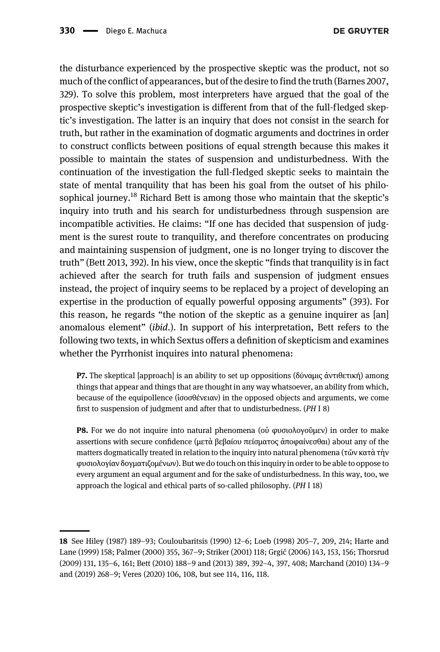the disturbance experienced by the prospective skeptic was the product, not so much of the conflict of appearances, but of the desire to find the truth ([Barnes 2007,](#page-26-7) 329). To solve this problem, most interpreters have argued that the goal of the prospective skeptic's investigation is different from that of the full-fledged skeptic's investigation. The latter is an inquiry that does not consist in the search for truth, but rather in the examination of dogmatic arguments and doctrines in order to construct conflicts between positions of equal strength because this makes it possible to maintain the states of suspension and undisturbedness. With the continuation of the investigation the full-fledged skeptic seeks to maintain the state of mental tranquility that has been his goal from the outset of his philosophical journey.<sup>18</sup> Richard Bett is among those who maintain that the skeptic's inquiry into truth and his search for undisturbedness through suspension are incompatible activities. He claims: "If one has decided that suspension of judgment is the surest route to tranquility, and therefore concentrates on producing and maintaining suspension of judgment, one is no longer trying to discover the truth" ([Bett 2013,](#page-26-14) 392). In his view, once the skeptic "finds that tranquility is in fact achieved after the search for truth fails and suspension of judgment ensues instead, the project of inquiry seems to be replaced by a project of developing an expertise in the production of equally powerful opposing arguments" (393). For this reason, he regards "the notion of the skeptic as a genuine inquirer as [an] anomalous element" (ibid.). In support of his interpretation, Bett refers to the following two texts, in which Sextus offers a definition of skepticism and examines whether the Pyrrhonist inquires into natural phenomena:

**P7.** The skeptical [approach] is an ability to set up oppositions (δύναμις άντιθετική) among things that appear and things that are thought in any way whatsoever, an ability from which, because of the equipollence (ἰσοσθένειαν) in the opposed objects and arguments, we come first to suspension of judgment and after that to undisturbedness. (PH I 8)

P8. For we do not inquire into natural phenomena (οὐ φυσιολογοῦμεν) in order to make assertions with secure confidence (μετὰ βεβαίου πείσματος ἀποφαίνεσθαι) about any of the matters dogmatically treated in relation to the inquiry into natural phenomena (τῶν κατὰ τὴν φυσιολογίαν δογματιζομένων). But we do touch on this inquiry in order to be able to oppose to every argument an equal argument and for the sake of undisturbedness. In this way, too, we approach the logical and ethical parts of so-called philosophy. (PH I 18)

<sup>18</sup> See [Hiley \(1987\)](#page-27-13) 189–93; [Couloubaritsis \(1990\)](#page-27-14) 12–6; [Loeb \(1998\)](#page-27-15) 205–7, 209, 214; [Harte and](#page-27-3) [Lane \(1999\)](#page-27-3) 158; [Palmer \(2000\)](#page-27-8) 355, 367–9; [Striker \(2001\)](#page-28-5) 118; Grgić [\(2006\)](#page-27-4) 143, 153, 156; [Thorsrud](#page-28-7) [\(2009\)](#page-28-7) 131, 135–6, 161; [Bett \(2010\)](#page-26-15) 188–9 and [\(2013](#page-26-14)) 389, 392–4, 397, 408; [Marchand \(2010\)](#page-27-10) 134–9 and [\(2019\)](#page-27-16) 268–9; [Veres \(2020\)](#page-28-8) 106, 108, but see 114, 116, 118.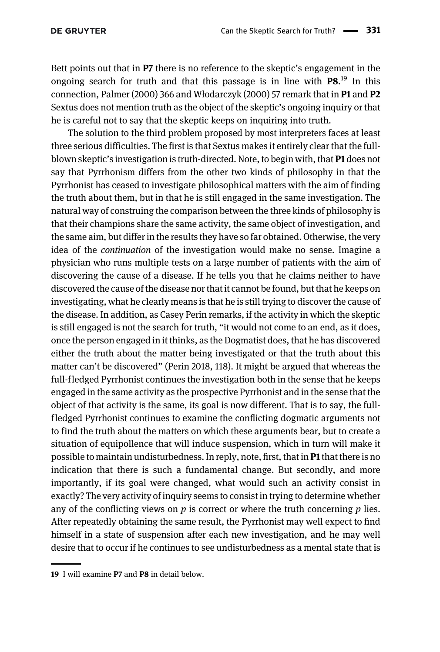Bett points out that in P7 there is no reference to the skeptic's engagement in the ongoing search for truth and that this passage is in line with  $P8$ <sup>19</sup> In this connection, [Palmer \(2000\)](#page-27-8) 366 and Wł[odarczyk \(2000\)](#page-28-6) 57 remark that in **P1** and **P2** Sextus does not mention truth as the object of the skeptic's ongoing inquiry or that he is careful not to say that the skeptic keeps on inquiring into truth.

The solution to the third problem proposed by most interpreters faces at least three serious difficulties. The first is that Sextus makes it entirely clear that the fullblown skeptic's investigation is truth-directed. Note, to begin with, that P1 does not say that Pyrrhonism differs from the other two kinds of philosophy in that the Pyrrhonist has ceased to investigate philosophical matters with the aim of finding the truth about them, but in that he is still engaged in the same investigation. The natural way of construing the comparison between the three kinds of philosophy is that their champions share the same activity, the same object of investigation, and the same aim, but differ in the results they have so far obtained. Otherwise, the very idea of the continuation of the investigation would make no sense. Imagine a physician who runs multiple tests on a large number of patients with the aim of discovering the cause of a disease. If he tells you that he claims neither to have discovered the cause of the disease nor that it cannot be found, but that he keeps on investigating, what he clearly means is that he is still trying to discover the cause of the disease. In addition, as Casey Perin remarks, if the activity in which the skeptic is still engaged is not the search for truth, "it would not come to an end, as it does, once the person engaged in it thinks, as the Dogmatist does, that he has discovered either the truth about the matter being investigated or that the truth about this matter can't be discovered" ([Perin 2018,](#page-28-9) 118). It might be argued that whereas the full-fledged Pyrrhonist continues the investigation both in the sense that he keeps engaged in the same activity as the prospective Pyrrhonist and in the sense that the object of that activity is the same, its goal is now different. That is to say, the fullfledged Pyrrhonist continues to examine the conflicting dogmatic arguments not to find the truth about the matters on which these arguments bear, but to create a situation of equipollence that will induce suspension, which in turn will make it possible to maintain undisturbedness. In reply, note, first, that in P1 that there is no indication that there is such a fundamental change. But secondly, and more importantly, if its goal were changed, what would such an activity consist in exactly? The very activity of inquiry seems to consist in trying to determine whether any of the conflicting views on  $p$  is correct or where the truth concerning  $p$  lies. After repeatedly obtaining the same result, the Pyrrhonist may well expect to find himself in a state of suspension after each new investigation, and he may well desire that to occur if he continues to see undisturbedness as a mental state that is

<sup>19</sup> I will examine P7 and P8 in detail below.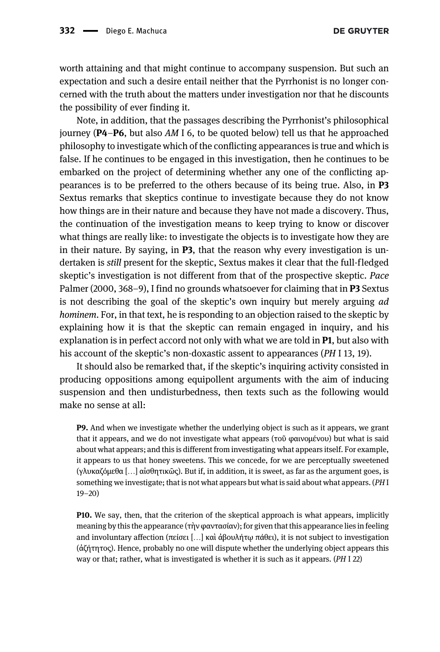worth attaining and that might continue to accompany suspension. But such an expectation and such a desire entail neither that the Pyrrhonist is no longer concerned with the truth about the matters under investigation nor that he discounts the possibility of ever finding it.

Note, in addition, that the passages describing the Pyrrhonist's philosophical journey ( $P4-P6$ , but also AM I 6, to be quoted below) tell us that he approached philosophy to investigate which of the conflicting appearances is true and which is false. If he continues to be engaged in this investigation, then he continues to be embarked on the project of determining whether any one of the conflicting appearances is to be preferred to the others because of its being true. Also, in P3 Sextus remarks that skeptics continue to investigate because they do not know how things are in their nature and because they have not made a discovery. Thus, the continuation of the investigation means to keep trying to know or discover what things are really like: to investigate the objects is to investigate how they are in their nature. By saying, in  $P3$ , that the reason why every investigation is undertaken is still present for the skeptic, Sextus makes it clear that the full-fledged skeptic's investigation is not different from that of the prospective skeptic. Pace [Palmer \(2000,](#page-27-8) 368–9), I find no grounds whatsoever for claiming that in **P3** Sextus is not describing the goal of the skeptic's own inquiry but merely arguing ad hominem. For, in that text, he is responding to an objection raised to the skeptic by explaining how it is that the skeptic can remain engaged in inquiry, and his explanation is in perfect accord not only with what we are told in **P1**, but also with his account of the skeptic's non-doxastic assent to appearances (PH I 13, 19).

It should also be remarked that, if the skeptic's inquiring activity consisted in producing oppositions among equipollent arguments with the aim of inducing suspension and then undisturbedness, then texts such as the following would make no sense at all:

P9. And when we investigate whether the underlying object is such as it appears, we grant that it appears, and we do not investigate what appears (τοῦ φαινομένου) but what is said about what appears; and this is different from investigating what appears itself. For example, it appears to us that honey sweetens. This we concede, for we are perceptually sweetened (γλυκαζόμεθα […] αἰσθητικῶς). But if, in addition, it is sweet, as far as the argument goes, is something we investigate; that is not what appears but what is said about what appears. (PH I 19–20)

P10. We say, then, that the criterion of the skeptical approach is what appears, implicitly meaning by this the appearance (τὴν φαντασίαν); for given that this appearance lies in feeling and involuntary affection (πείσει […] καὶ ἀβουλήτῳ πάθει), it is not subject to investigation (ἀζήτητος). Hence, probably no one will dispute whether the underlying object appears this way or that; rather, what is investigated is whether it is such as it appears. (PH I 22)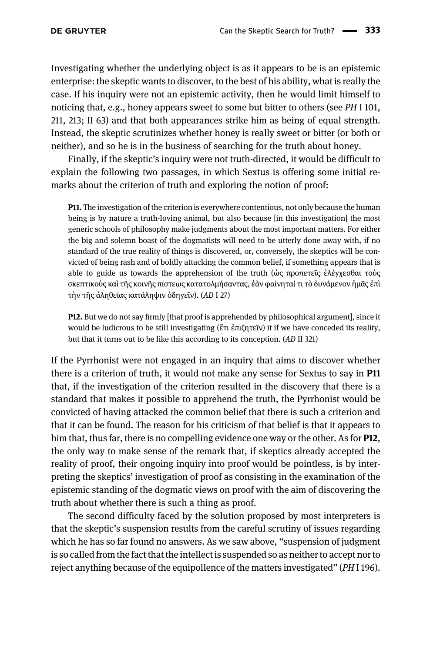Investigating whether the underlying object is as it appears to be is an epistemic enterprise: the skeptic wants to discover, to the best of his ability, what is really the case. If his inquiry were not an epistemic activity, then he would limit himself to noticing that, e.g., honey appears sweet to some but bitter to others (see PH I 101, 211, 213; II 63) and that both appearances strike him as being of equal strength. Instead, the skeptic scrutinizes whether honey is really sweet or bitter (or both or neither), and so he is in the business of searching for the truth about honey.

Finally, if the skeptic's inquiry were not truth-directed, it would be difficult to explain the following two passages, in which Sextus is offering some initial remarks about the criterion of truth and exploring the notion of proof:

P11. The investigation of the criterion is everywhere contentious, not only because the human being is by nature a truth-loving animal, but also because [in this investigation] the most generic schools of philosophy make judgments about the most important matters. For either the big and solemn boast of the dogmatists will need to be utterly done away with, if no standard of the true reality of things is discovered, or, conversely, the skeptics will be convicted of being rash and of boldly attacking the common belief, if something appears that is able to guide us towards the apprehension of the truth (ὡς προπετεῖς ἐλέγχεσθαι τοὺς σκεπτικοὺς καὶ τῆς κοινῆς πίστεως κατατολμήσαντας, ἐὰν φαίνηταί τι τὸ δυνάμενον ἡμᾶς ἐπὶ τὴν τῆς ἀληθείας κατάληψιν ὁδηγεῖν). (AD I 27)

P12. But we do not say firmly [that proof is apprehended by philosophical argument], since it would be ludicrous to be still investigating (ἔτι ἐπιζητεῖν) it if we have conceded its reality, but that it turns out to be like this according to its conception. (AD II 321)

If the Pyrrhonist were not engaged in an inquiry that aims to discover whether there is a criterion of truth, it would not make any sense for Sextus to say in P11 that, if the investigation of the criterion resulted in the discovery that there is a standard that makes it possible to apprehend the truth, the Pyrrhonist would be convicted of having attacked the common belief that there is such a criterion and that it can be found. The reason for his criticism of that belief is that it appears to him that, thus far, there is no compelling evidence one way or the other. As for **P12**, the only way to make sense of the remark that, if skeptics already accepted the reality of proof, their ongoing inquiry into proof would be pointless, is by interpreting the skeptics' investigation of proof as consisting in the examination of the epistemic standing of the dogmatic views on proof with the aim of discovering the truth about whether there is such a thing as proof.

The second difficulty faced by the solution proposed by most interpreters is that the skeptic's suspension results from the careful scrutiny of issues regarding which he has so far found no answers. As we saw above, "suspension of judgment is so called from the fact that the intellect is suspended so as neither to accept nor to reject anything because of the equipollence of the matters investigated" (PH I 196).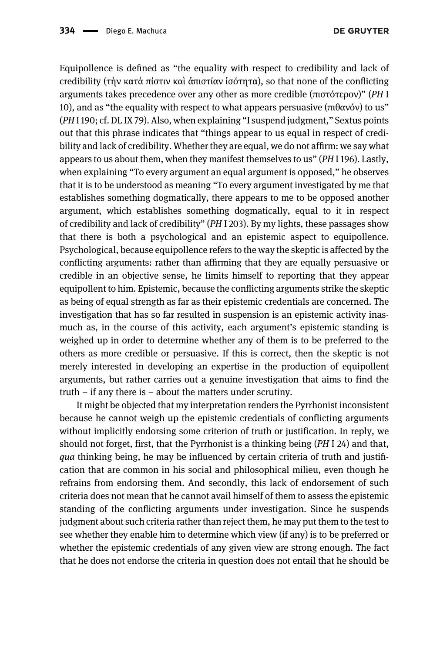Equipollence is defined as "the equality with respect to credibility and lack of credibility (τὴν κατὰ πίστιν καὶ ἀπιστίαν ἰσότητα), so that none of the conflicting arguments takes precedence over any other as more credible (πιστότερον)" (PH I 10), and as "the equality with respect to what appears persuasive ( $\pi$ ιθανόν) to us" (PHI 190; cf. DL IX 79). Also, when explaining "I suspend judgment," Sextus points out that this phrase indicates that "things appear to us equal in respect of credibility and lack of credibility. Whether they are equal, we do not affirm: we say what appears to us about them, when they manifest themselves to us" (PH I 196). Lastly, when explaining "To every argument an equal argument is opposed," he observes that it is to be understood as meaning "To every argument investigated by me that establishes something dogmatically, there appears to me to be opposed another argument, which establishes something dogmatically, equal to it in respect of credibility and lack of credibility" (PH I 203). By my lights, these passages show that there is both a psychological and an epistemic aspect to equipollence. Psychological, because equipollence refers to the way the skeptic is affected by the conflicting arguments: rather than affirming that they are equally persuasive or credible in an objective sense, he limits himself to reporting that they appear equipollent to him. Epistemic, because the conflicting arguments strike the skeptic as being of equal strength as far as their epistemic credentials are concerned. The investigation that has so far resulted in suspension is an epistemic activity inasmuch as, in the course of this activity, each argument's epistemic standing is weighed up in order to determine whether any of them is to be preferred to the others as more credible or persuasive. If this is correct, then the skeptic is not merely interested in developing an expertise in the production of equipollent arguments, but rather carries out a genuine investigation that aims to find the truth – if any there is – about the matters under scrutiny.

It might be objected that my interpretation renders the Pyrrhonist inconsistent because he cannot weigh up the epistemic credentials of conflicting arguments without implicitly endorsing some criterion of truth or justification. In reply, we should not forget, first, that the Pyrrhonist is a thinking being (PH I 24) and that, qua thinking being, he may be influenced by certain criteria of truth and justification that are common in his social and philosophical milieu, even though he refrains from endorsing them. And secondly, this lack of endorsement of such criteria does not mean that he cannot avail himself of them to assess the epistemic standing of the conflicting arguments under investigation. Since he suspends judgment about such criteria rather than reject them, he may put them to the test to see whether they enable him to determine which view (if any) is to be preferred or whether the epistemic credentials of any given view are strong enough. The fact that he does not endorse the criteria in question does not entail that he should be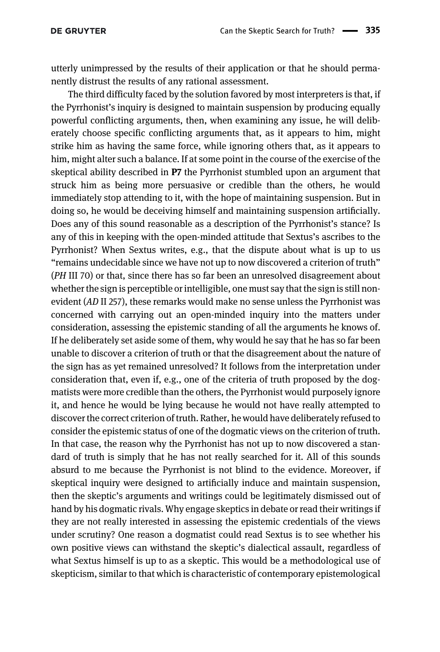utterly unimpressed by the results of their application or that he should permanently distrust the results of any rational assessment.

The third difficulty faced by the solution favored by most interpreters is that, if the Pyrrhonist's inquiry is designed to maintain suspension by producing equally powerful conflicting arguments, then, when examining any issue, he will deliberately choose specific conflicting arguments that, as it appears to him, might strike him as having the same force, while ignoring others that, as it appears to him, might alter such a balance. If at some point in the course of the exercise of the skeptical ability described in P7 the Pyrrhonist stumbled upon an argument that struck him as being more persuasive or credible than the others, he would immediately stop attending to it, with the hope of maintaining suspension. But in doing so, he would be deceiving himself and maintaining suspension artificially. Does any of this sound reasonable as a description of the Pyrrhonist's stance? Is any of this in keeping with the open-minded attitude that Sextus's ascribes to the Pyrrhonist? When Sextus writes, e.g., that the dispute about what is up to us "remains undecidable since we have not up to now discovered a criterion of truth" (PH III 70) or that, since there has so far been an unresolved disagreement about whether the sign is perceptible or intelligible, one must say that the sign is still nonevident (AD II 257), these remarks would make no sense unless the Pyrrhonist was concerned with carrying out an open-minded inquiry into the matters under consideration, assessing the epistemic standing of all the arguments he knows of. If he deliberately set aside some of them, why would he say that he has so far been unable to discover a criterion of truth or that the disagreement about the nature of the sign has as yet remained unresolved? It follows from the interpretation under consideration that, even if, e.g., one of the criteria of truth proposed by the dogmatists were more credible than the others, the Pyrrhonist would purposely ignore it, and hence he would be lying because he would not have really attempted to discover the correct criterion of truth. Rather, he would have deliberately refused to consider the epistemic status of one of the dogmatic views on the criterion of truth. In that case, the reason why the Pyrrhonist has not up to now discovered a standard of truth is simply that he has not really searched for it. All of this sounds absurd to me because the Pyrrhonist is not blind to the evidence. Moreover, if skeptical inquiry were designed to artificially induce and maintain suspension, then the skeptic's arguments and writings could be legitimately dismissed out of hand by his dogmatic rivals. Why engage skeptics in debate or read their writings if they are not really interested in assessing the epistemic credentials of the views under scrutiny? One reason a dogmatist could read Sextus is to see whether his own positive views can withstand the skeptic's dialectical assault, regardless of what Sextus himself is up to as a skeptic. This would be a methodological use of skepticism, similar to that which is characteristic of contemporary epistemological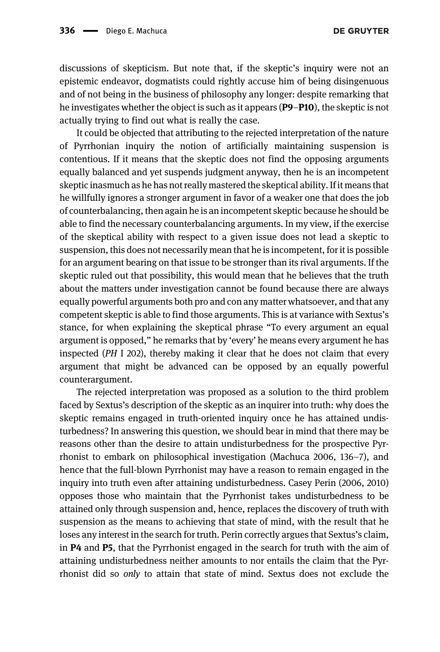**DE GRUYTER** 

discussions of skepticism. But note that, if the skeptic's inquiry were not an epistemic endeavor, dogmatists could rightly accuse him of being disingenuous and of not being in the business of philosophy any longer: despite remarking that he investigates whether the object is such as it appears (P9–P10), the skeptic is not actually trying to find out what is really the case.

It could be objected that attributing to the rejected interpretation of the nature of Pyrrhonian inquiry the notion of artificially maintaining suspension is contentious. If it means that the skeptic does not find the opposing arguments equally balanced and yet suspends judgment anyway, then he is an incompetent skeptic inasmuch as he has not really mastered the skeptical ability. If it means that he willfully ignores a stronger argument in favor of a weaker one that does the job of counterbalancing, then again he is an incompetent skeptic because he should be able to find the necessary counterbalancing arguments. In my view, if the exercise of the skeptical ability with respect to a given issue does not lead a skeptic to suspension, this does not necessarily mean that he is incompetent, for it is possible for an argument bearing on that issue to be stronger than its rival arguments. If the skeptic ruled out that possibility, this would mean that he believes that the truth about the matters under investigation cannot be found because there are always equally powerful arguments both pro and con any matter whatsoever, and that any competent skeptic is able to find those arguments. This is at variance with Sextus's stance, for when explaining the skeptical phrase "To every argument an equal argument is opposed," he remarks that by 'every' he means every argument he has inspected (PH I 202), thereby making it clear that he does not claim that every argument that might be advanced can be opposed by an equally powerful counterargument.

The rejected interpretation was proposed as a solution to the third problem faced by Sextus's description of the skeptic as an inquirer into truth: why does the skeptic remains engaged in truth-oriented inquiry once he has attained undisturbedness? In answering this question, we should bear in mind that there may be reasons other than the desire to attain undisturbedness for the prospective Pyrrhonist to embark on philosophical investigation ([Machuca 2006](#page-27-17), 136–7), and hence that the full-blown Pyrrhonist may have a reason to remain engaged in the inquiry into truth even after attaining undisturbedness. Casey [Perin \(2006](#page-27-18), [2010\)](#page-28-10) opposes those who maintain that the Pyrrhonist takes undisturbedness to be attained only through suspension and, hence, replaces the discovery of truth with suspension as the means to achieving that state of mind, with the result that he loses any interest in the search for truth. Perin correctly argues that Sextus's claim, in P4 and P5, that the Pyrrhonist engaged in the search for truth with the aim of attaining undisturbedness neither amounts to nor entails the claim that the Pyrrhonist did so only to attain that state of mind. Sextus does not exclude the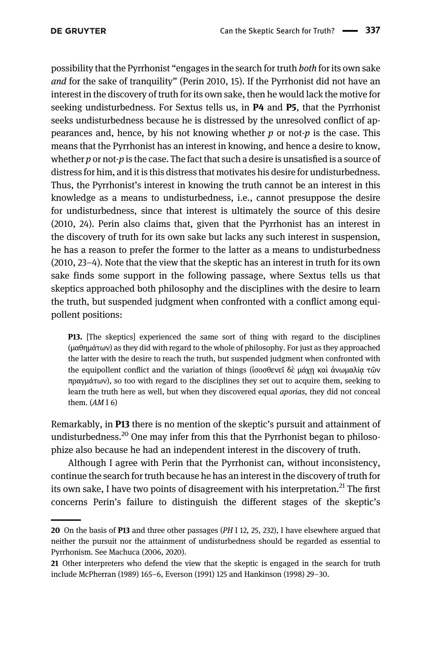possibility that the Pyrrhonist "engages in the search for truth both for its own sake and for the sake of tranquility" [\(Perin 2010](#page-28-10), 15). If the Pyrrhonist did not have an interest in the discovery of truth for its own sake, then he would lack the motive for seeking undisturbedness. For Sextus tells us, in P4 and P5, that the Pyrrhonist seeks undisturbedness because he is distressed by the unresolved conflict of appearances and, hence, by his not knowing whether  $p$  or not- $p$  is the case. This means that the Pyrrhonist has an interest in knowing, and hence a desire to know, whether  $p$  or not- $p$  is the case. The fact that such a desire is unsatisfied is a source of distress for him, and it is this distress that motivates his desire for undisturbedness. Thus, the Pyrrhonist's interest in knowing the truth cannot be an interest in this knowledge as a means to undisturbedness, i.e., cannot presuppose the desire for undisturbedness, since that interest is ultimately the source of this desire (2010, 24). Perin also claims that, given that the Pyrrhonist has an interest in the discovery of truth for its own sake but lacks any such interest in suspension, he has a reason to prefer the former to the latter as a means to undisturbedness (2010, 23–4). Note that the view that the skeptic has an interest in truth for its own sake finds some support in the following passage, where Sextus tells us that skeptics approached both philosophy and the disciplines with the desire to learn the truth, but suspended judgment when confronted with a conflict among equipollent positions:

P13. [The skeptics] experienced the same sort of thing with regard to the disciplines (μαθημάτων) as they did with regard to the whole of philosophy. For just as they approached the latter with the desire to reach the truth, but suspended judgment when confronted with the equipollent conflict and the variation of things (ισοσθενεῖ δὲ μάχη καὶ ἀνωμαλία τῶν πραγμάτων), so too with regard to the disciplines they set out to acquire them, seeking to learn the truth here as well, but when they discovered equal aporias, they did not conceal them. (AM I 6)

Remarkably, in P13 there is no mention of the skeptic's pursuit and attainment of undisturbedness.<sup>20</sup> One may infer from this that the Pyrrhonist began to philosophize also because he had an independent interest in the discovery of truth.

Although I agree with Perin that the Pyrrhonist can, without inconsistency, continue the search for truth because he has an interest in the discovery of truth for its own sake, I have two points of disagreement with his interpretation.<sup>21</sup> The first concerns Perin's failure to distinguish the different stages of the skeptic's

<sup>20</sup> On the basis of P13 and three other passages (PH I 12, 25, 232), I have elsewhere argued that neither the pursuit nor the attainment of undisturbedness should be regarded as essential to Pyrrhonism. See [Machuca \(2006,](#page-27-17) [2020\)](#page-27-19).

<sup>21</sup> Other interpreters who defend the view that the skeptic is engaged in the search for truth include [McPherran \(1989\)](#page-27-20) 165–6, [Everson \(1991\)](#page-27-21) 125 and [Hankinson \(1998\)](#page-27-1) 29–30.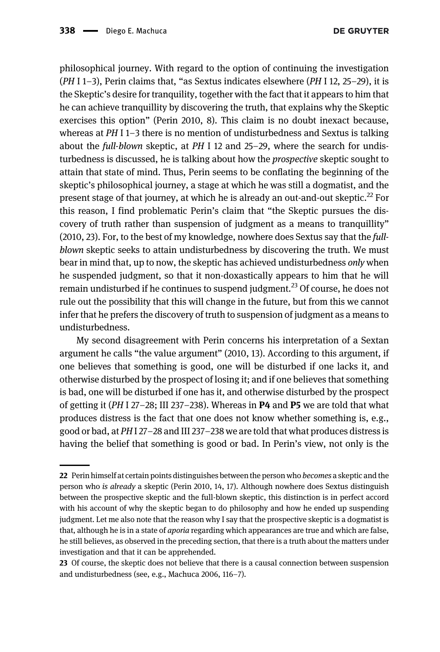philosophical journey. With regard to the option of continuing the investigation  $(PH I 1-3)$ , Perin claims that, "as Sextus indicates elsewhere  $(PH I 12, 25-29)$ , it is the Skeptic's desire for tranquility, together with the fact that it appears to him that he can achieve tranquillity by discovering the truth, that explains why the Skeptic exercises this option" [\(Perin 2010](#page-28-10), 8). This claim is no doubt inexact because, whereas at  $PH$  I 1–3 there is no mention of undisturbedness and Sextus is talking about the full-blown skeptic, at  $PH$  I 12 and 25–29, where the search for undisturbedness is discussed, he is talking about how the prospective skeptic sought to attain that state of mind. Thus, Perin seems to be conflating the beginning of the skeptic's philosophical journey, a stage at which he was still a dogmatist, and the present stage of that journey, at which he is already an out-and-out skeptic.<sup>22</sup> For this reason, I find problematic Perin's claim that "the Skeptic pursues the discovery of truth rather than suspension of judgment as a means to tranquillity" ([2010](#page-28-10), 23). For, to the best of my knowledge, nowhere does Sextus say that the fullblown skeptic seeks to attain undisturbedness by discovering the truth. We must bear in mind that, up to now, the skeptic has achieved undisturbedness only when he suspended judgment, so that it non-doxastically appears to him that he will remain undisturbed if he continues to suspend judgment.<sup>23</sup> Of course, he does not rule out the possibility that this will change in the future, but from this we cannot infer that he prefers the discovery of truth to suspension of judgment as a means to undisturbedness.

My second disagreement with Perin concerns his interpretation of a Sextan argument he calls "the value argument" [\(2010,](#page-28-10) 13). According to this argument, if one believes that something is good, one will be disturbed if one lacks it, and otherwise disturbed by the prospect of losing it; and if one believes that something is bad, one will be disturbed if one has it, and otherwise disturbed by the prospect of getting it ( $PH 127-28$ ; III 237-238). Whereas in **P4** and **P5** we are told that what produces distress is the fact that one does not know whether something is, e.g., good or bad, at PHI 27–28 and III 237–238 we are told that what produces distress is having the belief that something is good or bad. In Perin's view, not only is the

<sup>22</sup> Perin himself at certain points distinguishes between the person who *becomes* a skeptic and the person who is already a skeptic [\(Perin 2010](#page-28-10), 14, 17). Although nowhere does Sextus distinguish between the prospective skeptic and the full-blown skeptic, this distinction is in perfect accord with his account of why the skeptic began to do philosophy and how he ended up suspending judgment. Let me also note that the reason why I say that the prospective skeptic is a dogmatist is that, although he is in a state of *aporia* regarding which appearances are true and which are false, he still believes, as observed in the preceding section, that there is a truth about the matters under investigation and that it can be apprehended.

<sup>23</sup> Of course, the skeptic does not believe that there is a causal connection between suspension and undisturbedness (see, e.g., [Machuca 2006,](#page-27-17) 116–7).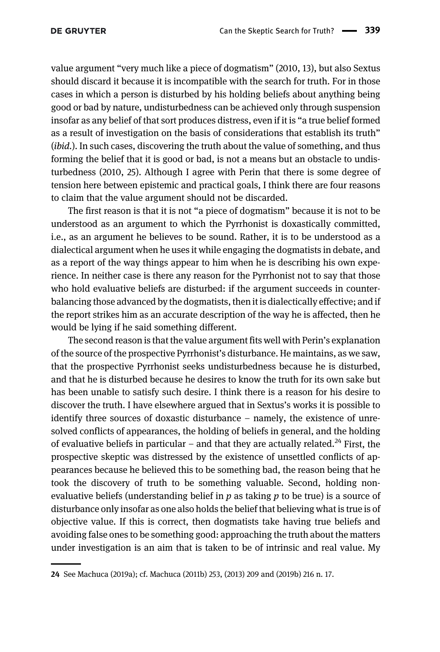value argument "very much like a piece of dogmatism" [\(2010](#page-28-10), 13), but also Sextus should discard it because it is incompatible with the search for truth. For in those cases in which a person is disturbed by his holding beliefs about anything being good or bad by nature, undisturbedness can be achieved only through suspension insofar as any belief of that sort produces distress, even if it is "a true belief formed as a result of investigation on the basis of considerations that establish its truth" (*ibid.*). In such cases, discovering the truth about the value of something, and thus forming the belief that it is good or bad, is not a means but an obstacle to undisturbedness (2010, 25). Although I agree with Perin that there is some degree of tension here between epistemic and practical goals, I think there are four reasons to claim that the value argument should not be discarded.

The first reason is that it is not "a piece of dogmatism" because it is not to be understood as an argument to which the Pyrrhonist is doxastically committed, i.e., as an argument he believes to be sound. Rather, it is to be understood as a dialectical argument when he uses it while engaging the dogmatists in debate, and as a report of the way things appear to him when he is describing his own experience. In neither case is there any reason for the Pyrrhonist not to say that those who hold evaluative beliefs are disturbed: if the argument succeeds in counterbalancing those advanced by the dogmatists, then it is dialectically effective; and if the report strikes him as an accurate description of the way he is affected, then he would be lying if he said something different.

The second reason is that the value argument fits well with Perin's explanation of the source of the prospective Pyrrhonist's disturbance. He maintains, as we saw, that the prospective Pyrrhonist seeks undisturbedness because he is disturbed, and that he is disturbed because he desires to know the truth for its own sake but has been unable to satisfy such desire. I think there is a reason for his desire to discover the truth. I have elsewhere argued that in Sextus's works it is possible to identify three sources of doxastic disturbance – namely, the existence of unresolved conflicts of appearances, the holding of beliefs in general, and the holding of evaluative beliefs in particular – and that they are actually related.<sup>24</sup> First, the prospective skeptic was distressed by the existence of unsettled conflicts of appearances because he believed this to be something bad, the reason being that he took the discovery of truth to be something valuable. Second, holding nonevaluative beliefs (understanding belief in  $p$  as taking  $p$  to be true) is a source of disturbance only insofar as one also holds the belief that believing what is true is of objective value. If this is correct, then dogmatists take having true beliefs and avoiding false ones to be something good: approaching the truth about the matters under investigation is an aim that is taken to be of intrinsic and real value. My

<sup>24</sup> See [Machuca \(2019a\);](#page-27-22) cf. [Machuca \(2011b\)](#page-27-23) 253, ([2013\)](#page-27-24) 209 and [\(2019b](#page-27-25)) 216 n. 17.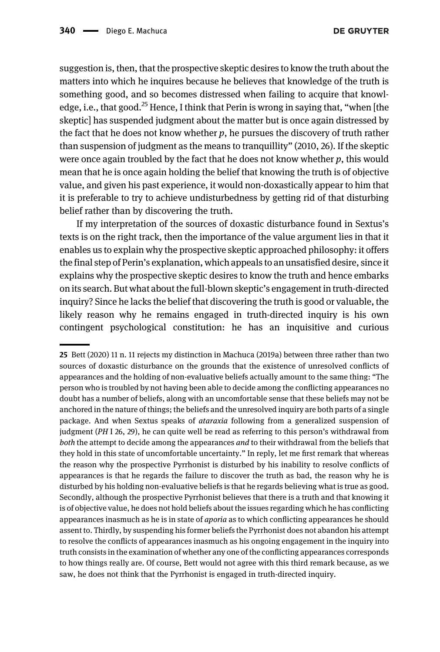suggestion is, then, that the prospective skeptic desires to know the truth about the matters into which he inquires because he believes that knowledge of the truth is something good, and so becomes distressed when failing to acquire that knowledge, i.e., that good.<sup>25</sup> Hence, I think that Perin is wrong in saying that, "when [the skeptic] has suspended judgment about the matter but is once again distressed by the fact that he does not know whether  $p$ , he pursues the discovery of truth rather than suspension of judgment as the means to tranquillity" (2010, 26). If the skeptic were once again troubled by the fact that he does not know whether  $p$ , this would mean that he is once again holding the belief that knowing the truth is of objective value, and given his past experience, it would non-doxastically appear to him that it is preferable to try to achieve undisturbedness by getting rid of that disturbing belief rather than by discovering the truth.

If my interpretation of the sources of doxastic disturbance found in Sextus's texts is on the right track, then the importance of the value argument lies in that it enables us to explain why the prospective skeptic approached philosophy: it offers the final step of Perin's explanation, which appeals to an unsatisfied desire, since it explains why the prospective skeptic desires to know the truth and hence embarks on its search. But what about the full-blown skeptic's engagement in truth-directed inquiry? Since he lacks the belief that discovering the truth is good or valuable, the likely reason why he remains engaged in truth-directed inquiry is his own contingent psychological constitution: he has an inquisitive and curious

<sup>25</sup> [Bett \(2020\)](#page-26-16) 11 n. 11 rejects my distinction in [Machuca \(2019a\)](#page-27-22) between three rather than two sources of doxastic disturbance on the grounds that the existence of unresolved conflicts of appearances and the holding of non-evaluative beliefs actually amount to the same thing: "The person who is troubled by not having been able to decide among the conflicting appearances no doubt has a number of beliefs, along with an uncomfortable sense that these beliefs may not be anchored in the nature of things; the beliefs and the unresolved inquiry are both parts of a single package. And when Sextus speaks of ataraxia following from a generalized suspension of judgment (PH I 26, 29), he can quite well be read as referring to this person's withdrawal from both the attempt to decide among the appearances and to their withdrawal from the beliefs that they hold in this state of uncomfortable uncertainty." In reply, let me first remark that whereas the reason why the prospective Pyrrhonist is disturbed by his inability to resolve conflicts of appearances is that he regards the failure to discover the truth as bad, the reason why he is disturbed by his holding non-evaluative beliefs is that he regards believing what is true as good. Secondly, although the prospective Pyrrhonist believes that there is a truth and that knowing it is of objective value, he does not hold beliefs about the issues regarding which he has conflicting appearances inasmuch as he is in state of aporia as to which conflicting appearances he should assent to. Thirdly, by suspending his former beliefs the Pyrrhonist does not abandon his attempt to resolve the conflicts of appearances inasmuch as his ongoing engagement in the inquiry into truth consists in the examination of whether any one of the conflicting appearances corresponds to how things really are. Of course, Bett would not agree with this third remark because, as we saw, he does not think that the Pyrrhonist is engaged in truth-directed inquiry.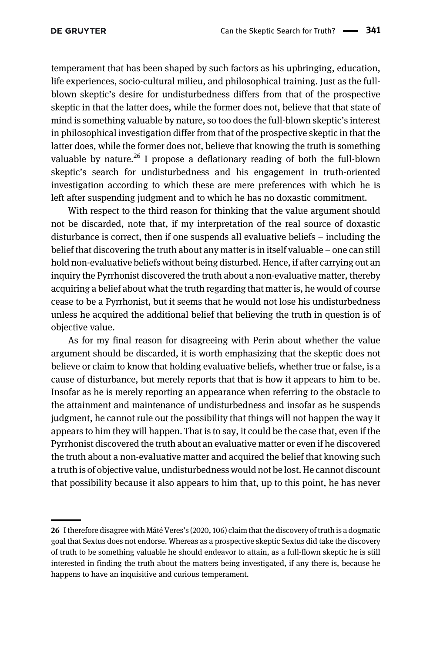temperament that has been shaped by such factors as his upbringing, education, life experiences, socio-cultural milieu, and philosophical training. Just as the fullblown skeptic's desire for undisturbedness differs from that of the prospective skeptic in that the latter does, while the former does not, believe that that state of mind is something valuable by nature, so too does the full-blown skeptic's interest in philosophical investigation differ from that of the prospective skeptic in that the latter does, while the former does not, believe that knowing the truth is something valuable by nature.<sup>26</sup> I propose a deflationary reading of both the full-blown skeptic's search for undisturbedness and his engagement in truth-oriented investigation according to which these are mere preferences with which he is left after suspending judgment and to which he has no doxastic commitment.

With respect to the third reason for thinking that the value argument should not be discarded, note that, if my interpretation of the real source of doxastic disturbance is correct, then if one suspends all evaluative beliefs – including the belief that discovering the truth about any matter is in itself valuable – one can still hold non-evaluative beliefs without being disturbed. Hence, if after carrying out an inquiry the Pyrrhonist discovered the truth about a non-evaluative matter, thereby acquiring a belief about what the truth regarding that matter is, he would of course cease to be a Pyrrhonist, but it seems that he would not lose his undisturbedness unless he acquired the additional belief that believing the truth in question is of objective value.

As for my final reason for disagreeing with Perin about whether the value argument should be discarded, it is worth emphasizing that the skeptic does not believe or claim to know that holding evaluative beliefs, whether true or false, is a cause of disturbance, but merely reports that that is how it appears to him to be. Insofar as he is merely reporting an appearance when referring to the obstacle to the attainment and maintenance of undisturbedness and insofar as he suspends judgment, he cannot rule out the possibility that things will not happen the way it appears to him they will happen. That is to say, it could be the case that, even if the Pyrrhonist discovered the truth about an evaluative matter or even if he discovered the truth about a non-evaluative matter and acquired the belief that knowing such a truth is of objective value, undisturbedness would not be lost. He cannot discount that possibility because it also appears to him that, up to this point, he has never

<sup>26</sup> I therefore disagree with Máté Veres'[s \(2020,](#page-28-8) 106) claim that the discovery of truth is a dogmatic goal that Sextus does not endorse. Whereas as a prospective skeptic Sextus did take the discovery of truth to be something valuable he should endeavor to attain, as a full-flown skeptic he is still interested in finding the truth about the matters being investigated, if any there is, because he happens to have an inquisitive and curious temperament.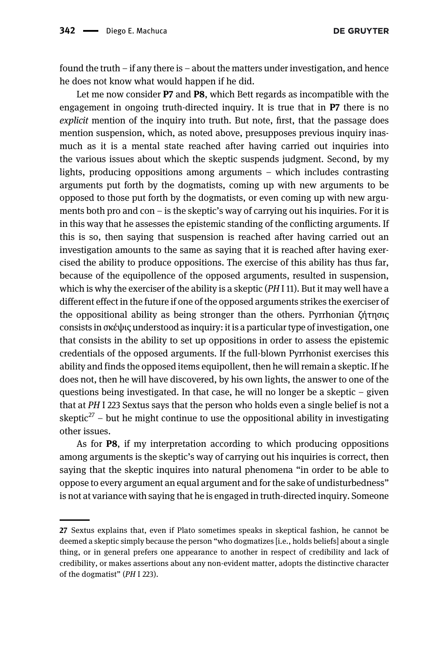**DE GRUYTER** 

found the truth – if any there is – about the matters under investigation, and hence he does not know what would happen if he did.

Let me now consider **P7** and **P8**, which Bett regards as incompatible with the engagement in ongoing truth-directed inquiry. It is true that in P7 there is no explicit mention of the inquiry into truth. But note, first, that the passage does mention suspension, which, as noted above, presupposes previous inquiry inasmuch as it is a mental state reached after having carried out inquiries into the various issues about which the skeptic suspends judgment. Second, by my lights, producing oppositions among arguments – which includes contrasting arguments put forth by the dogmatists, coming up with new arguments to be opposed to those put forth by the dogmatists, or even coming up with new arguments both pro and con – is the skeptic's way of carrying out his inquiries. For it is in this way that he assesses the epistemic standing of the conflicting arguments. If this is so, then saying that suspension is reached after having carried out an investigation amounts to the same as saying that it is reached after having exercised the ability to produce oppositions. The exercise of this ability has thus far, because of the equipollence of the opposed arguments, resulted in suspension, which is why the exerciser of the ability is a skeptic  $(PHI 11)$ . But it may well have a different effect in the future if one of the opposed arguments strikes the exerciser of the oppositional ability as being stronger than the others. Pyrrhonian ζήτησις consists in σκέψις understood as inquiry: it is a particular type of investigation, one that consists in the ability to set up oppositions in order to assess the epistemic credentials of the opposed arguments. If the full-blown Pyrrhonist exercises this ability and finds the opposed items equipollent, then he will remain a skeptic. If he does not, then he will have discovered, by his own lights, the answer to one of the questions being investigated. In that case, he will no longer be a skeptic – given that at PH I 223 Sextus says that the person who holds even a single belief is not a skeptic<sup>27</sup> – but he might continue to use the oppositional ability in investigating other issues.

As for P8, if my interpretation according to which producing oppositions among arguments is the skeptic's way of carrying out his inquiries is correct, then saying that the skeptic inquires into natural phenomena "in order to be able to oppose to every argument an equal argument and for the sake of undisturbedness" is not at variance with saying that he is engaged in truth-directed inquiry. Someone

<sup>27</sup> Sextus explains that, even if Plato sometimes speaks in skeptical fashion, he cannot be deemed a skeptic simply because the person "who dogmatizes [i.e., holds beliefs] about a single thing, or in general prefers one appearance to another in respect of credibility and lack of credibility, or makes assertions about any non-evident matter, adopts the distinctive character of the dogmatist" (PH I 223).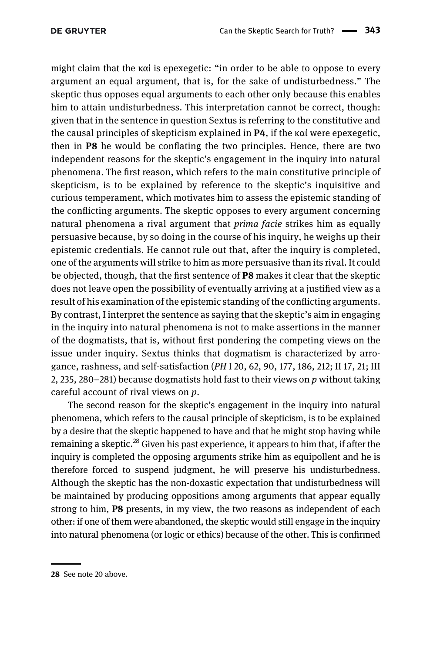might claim that the καί is epexegetic: "in order to be able to oppose to every argument an equal argument, that is, for the sake of undisturbedness." The skeptic thus opposes equal arguments to each other only because this enables him to attain undisturbedness. This interpretation cannot be correct, though: given that in the sentence in question Sextus is referring to the constitutive and the causal principles of skepticism explained in P4, if the καί were epexegetic, then in P8 he would be conflating the two principles. Hence, there are two independent reasons for the skeptic's engagement in the inquiry into natural phenomena. The first reason, which refers to the main constitutive principle of skepticism, is to be explained by reference to the skeptic's inquisitive and curious temperament, which motivates him to assess the epistemic standing of the conflicting arguments. The skeptic opposes to every argument concerning natural phenomena a rival argument that *prima facie* strikes him as equally persuasive because, by so doing in the course of his inquiry, he weighs up their epistemic credentials. He cannot rule out that, after the inquiry is completed, one of the arguments will strike to him as more persuasive than its rival. It could be objected, though, that the first sentence of P8 makes it clear that the skeptic does not leave open the possibility of eventually arriving at a justified view as a result of his examination of the epistemic standing of the conflicting arguments. By contrast, I interpret the sentence as saying that the skeptic's aim in engaging in the inquiry into natural phenomena is not to make assertions in the manner of the dogmatists, that is, without first pondering the competing views on the issue under inquiry. Sextus thinks that dogmatism is characterized by arrogance, rashness, and self-satisfaction (PH I 20, 62, 90, 177, 186, 212; II 17, 21; III 2, 235, 280–281) because dogmatists hold fast to their views on  $p$  without taking careful account of rival views on  $p$ .

The second reason for the skeptic's engagement in the inquiry into natural phenomena, which refers to the causal principle of skepticism, is to be explained by a desire that the skeptic happened to have and that he might stop having while remaining a skeptic.<sup>28</sup> Given his past experience, it appears to him that, if after the inquiry is completed the opposing arguments strike him as equipollent and he is therefore forced to suspend judgment, he will preserve his undisturbedness. Although the skeptic has the non-doxastic expectation that undisturbedness will be maintained by producing oppositions among arguments that appear equally strong to him, P8 presents, in my view, the two reasons as independent of each other: if one of them were abandoned, the skeptic would still engage in the inquiry into natural phenomena (or logic or ethics) because of the other. This is confirmed

<sup>28</sup> See note 20 above.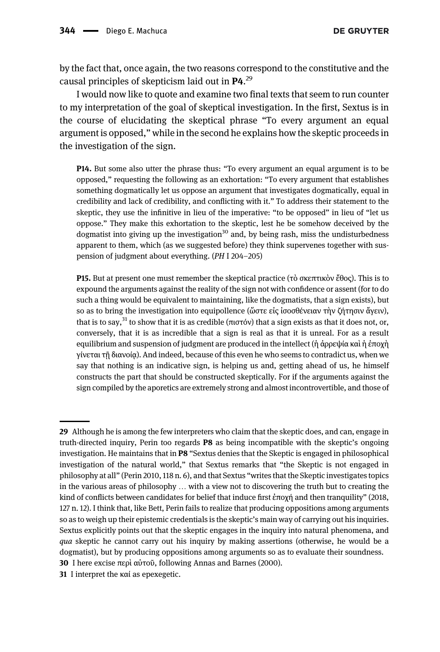by the fact that, once again, the two reasons correspond to the constitutive and the causal principles of skepticism laid out in P4.<sup>29</sup>

I would now like to quote and examine two final texts that seem to run counter to my interpretation of the goal of skeptical investigation. In the first, Sextus is in the course of elucidating the skeptical phrase "To every argument an equal argument is opposed," while in the second he explains how the skeptic proceeds in the investigation of the sign.

P14. But some also utter the phrase thus: "To every argument an equal argument is to be opposed," requesting the following as an exhortation: "To every argument that establishes something dogmatically let us oppose an argument that investigates dogmatically, equal in credibility and lack of credibility, and conflicting with it." To address their statement to the skeptic, they use the infinitive in lieu of the imperative: "to be opposed" in lieu of "let us oppose." They make this exhortation to the skeptic, lest he be somehow deceived by the dogmatist into giving up the investigation<sup>30</sup> and, by being rash, miss the undisturbedness apparent to them, which (as we suggested before) they think supervenes together with suspension of judgment about everything. (PH I 204–205)

P15. But at present one must remember the skeptical practice (τὸ σκεπτικὸν ἔθος). This is to expound the arguments against the reality of the sign not with confidence or assent (for to do such a thing would be equivalent to maintaining, like the dogmatists, that a sign exists), but so as to bring the investigation into equipollence (ὥστε εἰς ἰσοσθένειαν τὴν ζήτησιν ἄγειν), that is to say,<sup>31</sup> to show that it is as credible (πιστόν) that a sign exists as that it does not, or, conversely, that it is as incredible that a sign is real as that it is unreal. For as a result equilibrium and suspension of judgment are produced in the intellect (ἡ ἀρρεψία καὶ ἡ ἐποχὴ γίνεται τῇ διανοίᾳ). And indeed, because of this even he who seems to contradict us, when we say that nothing is an indicative sign, is helping us and, getting ahead of us, he himself constructs the part that should be constructed skeptically. For if the arguments against the sign compiled by the aporetics are extremely strong and almost incontrovertible, and those of

<sup>29</sup> Although he is among the few interpreters who claim that the skeptic does, and can, engage in truth-directed inquiry, Perin too regards P8 as being incompatible with the skeptic's ongoing investigation. He maintains that in P8 "Sextus denies that the Skeptic is engaged in philosophical investigation of the natural world," that Sextus remarks that "the Skeptic is not engaged in philosophy at all" ([Perin 2010,](#page-28-10) 118 n. 6), and that Sextus "writes that the Skeptic investigates topics in the various areas of philosophy … with a view not to discovering the truth but to creating the kind of conflicts between candidates for belief that induce first ἐποχή and then tranquility" ([2018](#page-28-9), 127 n. 12). I think that, like Bett, Perin fails to realize that producing oppositions among arguments so as to weigh up their epistemic credentials is the skeptic's main way of carrying out his inquiries. Sextus explicitly points out that the skeptic engages in the inquiry into natural phenomena, and qua skeptic he cannot carry out his inquiry by making assertions (otherwise, he would be a dogmatist), but by producing oppositions among arguments so as to evaluate their soundness.

<sup>30</sup> I here excise περὶ αὐτοῦ, following [Annas and Barnes \(2000\)](#page-26-4).

<sup>31</sup> I interpret the καί as epexegetic.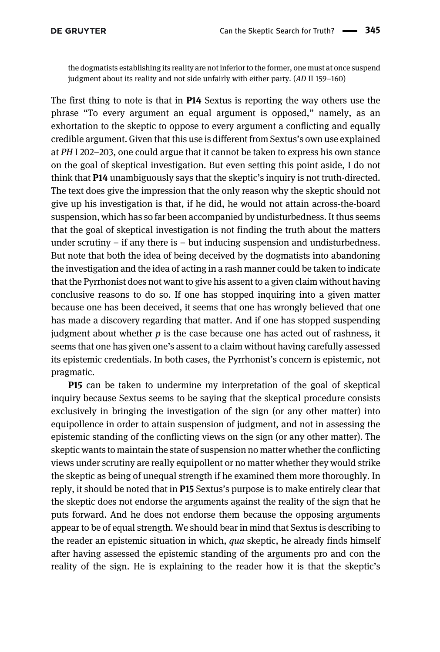the dogmatists establishing its reality are not inferior to the former, one must at once suspend judgment about its reality and not side unfairly with either party. (AD II 159–160)

The first thing to note is that in **P14** Sextus is reporting the way others use the phrase "To every argument an equal argument is opposed," namely, as an exhortation to the skeptic to oppose to every argument a conflicting and equally credible argument. Given that this use is different from Sextus's own use explained at PH I 202–203, one could argue that it cannot be taken to express his own stance on the goal of skeptical investigation. But even setting this point aside, I do not think that P14 unambiguously says that the skeptic's inquiry is not truth-directed. The text does give the impression that the only reason why the skeptic should not give up his investigation is that, if he did, he would not attain across-the-board suspension, which has so far been accompanied by undisturbedness. It thus seems that the goal of skeptical investigation is not finding the truth about the matters under scrutiny  $-$  if any there is  $-$  but inducing suspension and undisturbedness. But note that both the idea of being deceived by the dogmatists into abandoning the investigation and the idea of acting in a rash manner could be taken to indicate that the Pyrrhonist does not want to give his assent to a given claim without having conclusive reasons to do so. If one has stopped inquiring into a given matter because one has been deceived, it seems that one has wrongly believed that one has made a discovery regarding that matter. And if one has stopped suspending judgment about whether  $p$  is the case because one has acted out of rashness, it seems that one has given one's assent to a claim without having carefully assessed its epistemic credentials. In both cases, the Pyrrhonist's concern is epistemic, not pragmatic.

P15 can be taken to undermine my interpretation of the goal of skeptical inquiry because Sextus seems to be saying that the skeptical procedure consists exclusively in bringing the investigation of the sign (or any other matter) into equipollence in order to attain suspension of judgment, and not in assessing the epistemic standing of the conflicting views on the sign (or any other matter). The skeptic wants to maintain the state of suspension no matter whether the conflicting views under scrutiny are really equipollent or no matter whether they would strike the skeptic as being of unequal strength if he examined them more thoroughly. In reply, it should be noted that in P15 Sextus's purpose is to make entirely clear that the skeptic does not endorse the arguments against the reality of the sign that he puts forward. And he does not endorse them because the opposing arguments appear to be of equal strength. We should bear in mind that Sextus is describing to the reader an epistemic situation in which, *qua* skeptic, he already finds himself after having assessed the epistemic standing of the arguments pro and con the reality of the sign. He is explaining to the reader how it is that the skeptic's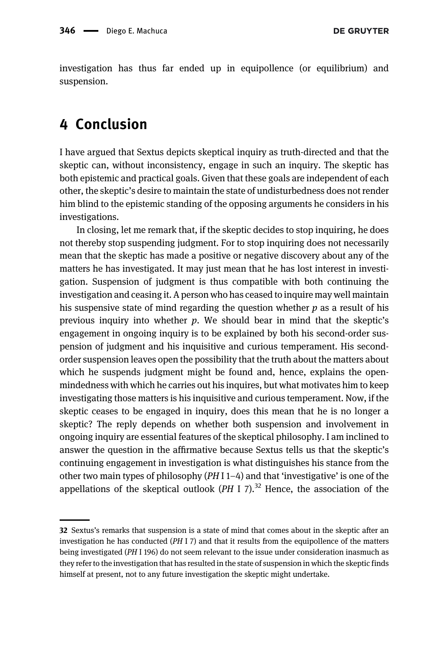investigation has thus far ended up in equipollence (or equilibrium) and suspension.

### <span id="page-25-0"></span>4 Conclusion

I have argued that Sextus depicts skeptical inquiry as truth-directed and that the skeptic can, without inconsistency, engage in such an inquiry. The skeptic has both epistemic and practical goals. Given that these goals are independent of each other, the skeptic's desire to maintain the state of undisturbedness does not render him blind to the epistemic standing of the opposing arguments he considers in his investigations.

In closing, let me remark that, if the skeptic decides to stop inquiring, he does not thereby stop suspending judgment. For to stop inquiring does not necessarily mean that the skeptic has made a positive or negative discovery about any of the matters he has investigated. It may just mean that he has lost interest in investigation. Suspension of judgment is thus compatible with both continuing the investigation and ceasing it. A person who has ceased to inquire may well maintain his suspensive state of mind regarding the question whether  $p$  as a result of his previous inquiry into whether  $p$ . We should bear in mind that the skeptic's engagement in ongoing inquiry is to be explained by both his second-order suspension of judgment and his inquisitive and curious temperament. His secondorder suspension leaves open the possibility that the truth about the matters about which he suspends judgment might be found and, hence, explains the openmindedness with which he carries out his inquires, but what motivates him to keep investigating those matters is his inquisitive and curious temperament. Now, if the skeptic ceases to be engaged in inquiry, does this mean that he is no longer a skeptic? The reply depends on whether both suspension and involvement in ongoing inquiry are essential features of the skeptical philosophy. I am inclined to answer the question in the affirmative because Sextus tells us that the skeptic's continuing engagement in investigation is what distinguishes his stance from the other two main types of philosophy  $(PH I 1-4)$  and that 'investigative' is one of the appellations of the skeptical outlook (PH I 7).<sup>32</sup> Hence, the association of the

<sup>32</sup> Sextus's remarks that suspension is a state of mind that comes about in the skeptic after an investigation he has conducted (PH I 7) and that it results from the equipollence of the matters being investigated (PH I 196) do not seem relevant to the issue under consideration inasmuch as they refer to the investigation that has resulted in the state of suspension in which the skeptic finds himself at present, not to any future investigation the skeptic might undertake.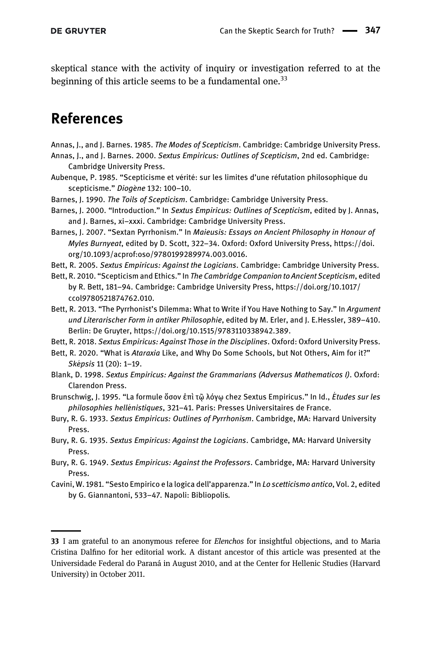skeptical stance with the activity of inquiry or investigation referred to at the beginning of this article seems to be a fundamental one.<sup>33</sup>

## References

- <span id="page-26-9"></span><span id="page-26-4"></span>Annas, J., and J. Barnes. 1985. The Modes of Scepticism. Cambridge: Cambridge University Press.
- Annas, J., and J. Barnes. 2000. Sextus Empiricus: Outlines of Scepticism, 2nd ed. Cambridge: Cambridge University Press.
- <span id="page-26-13"></span>Aubenque, P. 1985. "Scepticisme et vérité: sur les limites d'une réfutation philosophique du scepticisme." Diogène 132: 100-10.
- <span id="page-26-12"></span>Barnes, J. 1990. The Toils of Scepticism. Cambridge: Cambridge University Press.
- <span id="page-26-10"></span>Barnes, I. 2000. "Introduction." In Sextus Empiricus: Outlines of Scepticism, edited by I. Annas, and J. Barnes, xi–xxxi. Cambridge: Cambridge University Press.
- <span id="page-26-7"></span>Barnes, J. 2007. "Sextan Pyrrhonism." In Maieusis: Essays on Ancient Philosophy in Honour of Myles Burnyeat, edited by D. Scott, 322–34. Oxford: Oxford University Press, [https://doi.](https://doi.org/10.1093/acprof:oso/9780199289974.003.0016) [org/10.1093/acprof:oso/9780199289974.003.0016.](https://doi.org/10.1093/acprof:oso/9780199289974.003.0016)
- <span id="page-26-15"></span><span id="page-26-5"></span>Bett, R. 2005. Sextus Empiricus: Against the Logicians. Cambridge: Cambridge University Press.
- Bett, R. 2010. "Scepticism and Ethics." In The Cambridge Companion to Ancient Scepticism, edited by R. Bett, 181–94. Cambridge: Cambridge University Press, [https://doi.org/10.1017/](https://doi.org/10.1017/ccol9780521874762.010) [ccol9780521874762.010.](https://doi.org/10.1017/ccol9780521874762.010)
- <span id="page-26-14"></span>Bett, R. 2013. "The Pyrrhonist's Dilemma: What to Write if You Have Nothing to Say." In Argument und Literarischer Form in antiker Philosophie, edited by M. Erler, and J. E.Hessler, 389–410. Berlin: De Gruyter,<https://doi.org/10.1515/9783110338942.389>.
- <span id="page-26-6"></span>Bett, R. 2018. Sextus Empiricus: Against Those in the Disciplines. Oxford: Oxford University Press.
- <span id="page-26-16"></span>Bett, R. 2020. "What is Ataraxia Like, and Why Do Some Schools, but Not Others, Aim for it?" Sképsis 11 (20): 1-19.
- <span id="page-26-3"></span>Blank, D. 1998. Sextus Empiricus: Against the Grammarians (Adversus Mathematicos I). Oxford: Clarendon Press.
- <span id="page-26-11"></span>Brunschwig, J. 1995. "La formule ὄσον ἐπὶ τῷ λόγῳ chez Sextus Empiricus." In Id., Études sur les philosophies hellénistiques, 321-41. Paris: Presses Universitaires de France.
- <span id="page-26-0"></span>Bury, R. G. 1933. Sextus Empiricus: Outlines of Pyrrhonism. Cambridge, MA: Harvard University Press.
- <span id="page-26-1"></span>Bury, R. G. 1935. Sextus Empiricus: Against the Logicians. Cambridge, MA: Harvard University Press.
- <span id="page-26-2"></span>Bury, R. G. 1949. Sextus Empiricus: Against the Professors. Cambridge, MA: Harvard University Press.
- <span id="page-26-8"></span>Cavini, W. 1981. "Sesto Empirico e la logica dell'apparenza." In Lo scetticismo antico, Vol. 2, edited by G. Giannantoni, 533–47. Napoli: Bibliopolis.

<sup>33</sup> I am grateful to an anonymous referee for *Elenchos* for insightful objections, and to Maria Cristina Dalfino for her editorial work. A distant ancestor of this article was presented at the Universidade Federal do Paraná in August 2010, and at the Center for Hellenic Studies (Harvard University) in October 2011.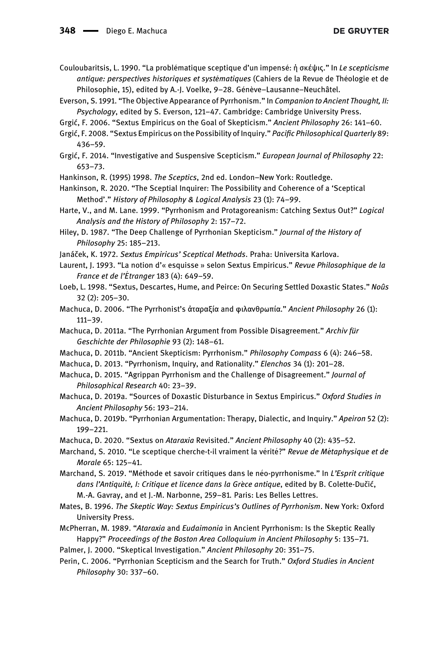- <span id="page-27-14"></span>Couloubaritsis, L. 1990. "La problématique sceptique d'un impensé: ἡ σκέψις." In Le scepticisme antique: perspectives historiques et systématiques (Cahiers de la Revue de Théologie et de Philosophie, 15), edited by A.-J. Voelke, 9-28. Génève-Lausanne-Neuchâtel.
- <span id="page-27-21"></span>Everson, S. 1991. "The Objective Appearance of Pyrrhonism." In Companion to Ancient Thought, II: Psychology, edited by S. Everson, 121–47. Cambridge: Cambridge University Press.
- <span id="page-27-4"></span>Grgić, F. 2006. "Sextus Empiricus on the Goal of Skepticism." Ancient Philosophy 26: 141–60.
- <span id="page-27-5"></span>Grgić, F. 2008. "Sextus Empiricus on the Possibility of Inquiry." Pacific Philosophical Quarterly 89: 436–59.
- <span id="page-27-6"></span>Grgić, F. 2014. "Investigative and Suspensive Scepticism." European Journal of Philosophy 22: 653–73.
- <span id="page-27-1"></span>Hankinson, R. (1995) 1998. The Sceptics, 2nd ed. London–New York: Routledge.

<span id="page-27-2"></span>Hankinson, R. 2020. "The Sceptial Inquirer: The Possibility and Coherence of a 'Sceptical Method'." History of Philosophy & Logical Analysis 23 (1): 74–99.

- <span id="page-27-3"></span>Harte, V., and M. Lane. 1999. "Pyrrhonism and Protagoreanism: Catching Sextus Out?" Logical Analysis and the History of Philosophy 2: 157–72.
- <span id="page-27-13"></span>Hiley, D. 1987. "The Deep Challenge of Pyrrhonian Skepticism." Journal of the History of Philosophy 25: 185–213.

<span id="page-27-9"></span><span id="page-27-7"></span>Janáček, K. 1972. Sextus Empiricus' Sceptical Methods. Praha: Universita Karlova.

- Laurent, J. 1993. "La notion d'« esquisse » selon Sextus Empiricus." Revue Philosophique de la France et de l'Étranger 183 (4): 649-59.
- <span id="page-27-15"></span>Loeb, L. 1998. "Sextus, Descartes, Hume, and Peirce: On Securing Settled Doxastic States." Noûs 32 (2): 205–30.
- <span id="page-27-17"></span>Machuca, D. 2006. "The Pyrrhonist's ἀταραξία and φιλανθρωπία." Ancient Philosophy 26 (1): 111–39.
- <span id="page-27-11"></span>Machuca, D. 2011a. "The Pyrrhonian Argument from Possible Disagreement." Archiv für Geschichte der Philosophie 93 (2): 148–61.
- <span id="page-27-23"></span>Machuca, D. 2011b. "Ancient Skepticism: Pyrrhonism." Philosophy Compass 6 (4): 246–58.
- <span id="page-27-24"></span>Machuca, D. 2013. "Pyrrhonism, Inquiry, and Rationality." Elenchos 34 (1): 201–28.
- <span id="page-27-12"></span>Machuca, D. 2015. "Agrippan Pyrrhonism and the Challenge of Disagreement." Journal of Philosophical Research 40: 23–39.
- <span id="page-27-22"></span>Machuca, D. 2019a. "Sources of Doxastic Disturbance in Sextus Empiricus." Oxford Studies in Ancient Philosophy 56: 193–214.
- <span id="page-27-25"></span>Machuca, D. 2019b. "Pyrrhonian Argumentation: Therapy, Dialectic, and Inquiry." Apeiron 52 (2): 199–221.
- <span id="page-27-19"></span>Machuca, D. 2020. "Sextus on Ataraxia Revisited." Ancient Philosophy 40 (2): 435–52.
- <span id="page-27-10"></span>Marchand, S. 2010. "Le sceptique cherche-t-il vraiment la vérité?" Revue de Métaphysique et de Morale 65: 125–41.
- <span id="page-27-16"></span>Marchand, S. 2019. "Méthode et savoir critiques dans le néo-pyrrhonisme." In L'Esprit critique dans l'Antiquité, I: Critique et licence dans la Grèce antique, edited by B. Colette-Dučić, M.-A. Gavray, and et J.-M. Narbonne, 259–81. Paris: Les Belles Lettres.
- <span id="page-27-0"></span>Mates, B. 1996. The Skeptic Way: Sextus Empiricus's Outlines of Pyrrhonism. New York: Oxford University Press.
- <span id="page-27-20"></span>McPherran, M. 1989. "Ataraxia and Eudaimonia in Ancient Pyrrhonism: Is the Skeptic Really Happy?" Proceedings of the Boston Area Colloquium in Ancient Philosophy 5: 135–71.
- <span id="page-27-8"></span>Palmer, J. 2000. "Skeptical Investigation." Ancient Philosophy 20: 351–75.
- <span id="page-27-18"></span>Perin, C. 2006. "Pyrrhonian Scepticism and the Search for Truth." Oxford Studies in Ancient Philosophy 30: 337–60.